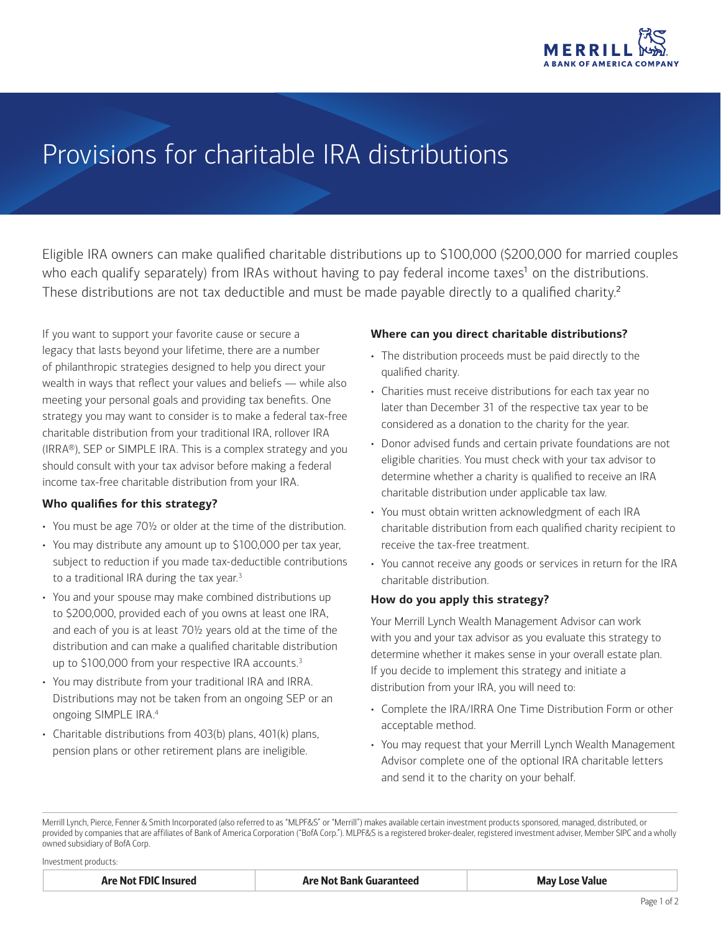

# <span id="page-0-2"></span>Provisions for charitable IRA distributions

Eligible IRA owners can make qualified charitable distributions up to \$100,000 (\$200,000 for married couples who each qualify separately) from IRAs without having to pay federal income taxes<sup>1</sup> on the distributions. These distributions are not tax deductible and must be made payable directly to a qualified charity.<sup>2</sup>

If you want to support your favorite cause or secure a legacy that lasts beyond your lifetime, there are a number of philanthropic strategies designed to help you direct your wealth in ways that reflect your values and beliefs — while also meeting your personal goals and providing tax benefits. One strategy you may want to consider is to make a federal tax-free charitable distribution from your traditional IRA, rollover IRA (IRRA®), SEP or SIMPLE IRA. This is a complex strategy and you should consult with your tax advisor before making a federal income tax-free charitable distribution from your IRA.

#### **Who qualifies for this strategy?**

- You must be age 70½ or older at the time of the distribution.
- You may distribute any amount up to \$100,000 per tax year, subject to reduction if you made tax-deductible contributions to a traditional IRA during the tax year.<sup>[3](#page-1-0)</sup>
- You and your spouse may make combined distributions up to \$200,000, provided each of you owns at least one IRA, and each of you is at least 70½ years old at the time of the distribution and can make a qualified charitable distribution up to \$100,000 from your respective IRA accounts.<sup>[3](#page-1-0)</sup>
- You may distribute from your traditional IRA and IRRA. Distributions may not be taken from an ongoing SEP or an ongoing SIMPLE IRA.[4](#page-1-1)
- <span id="page-0-1"></span>• Charitable distributions from 403(b) plans, 401(k) plans, pension plans or other retirement plans are ineligible.

#### **Where can you direct charitable distributions?**

- The distribution proceeds must be paid directly to the qualified charity.
- Charities must receive distributions for each tax year no later than December 31 of the respective tax year to be considered as a donation to the charity for the year.
- Donor advised funds and certain private foundations are not eligible charities. You must check with your tax advisor to determine whether a charity is qualified to receive an IRA charitable distribution under applicable tax law.
- You must obtain written acknowledgment of each IRA charitable distribution from each qualified charity recipient to receive the tax-free treatment.
- <span id="page-0-0"></span>• You cannot receive any goods or services in return for the IRA charitable distribution.

#### **How do you apply this strategy?**

Your Merrill Lynch Wealth Management Advisor can work with you and your tax advisor as you evaluate this strategy to determine whether it makes sense in your overall estate plan. If you decide to implement this strategy and initiate a distribution from your IRA, you will need to:

- Complete the IRA/IRRA One Time Distribution Form or other acceptable method.
- You may request that your Merrill Lynch Wealth Management Advisor complete one of the optional IRA charitable letters and send it to the charity on your behalf.

Merrill Lynch, Pierce, Fenner & Smith Incorporated (also referred to as "MLPF&S" or "Merrill") makes available certain investment products sponsored, managed, distributed, or provided by companies that are affiliates of Bank of America Corporation ("BofA Corp."). MLPF&S is a registered broker-dealer, registered investment adviser, Member [SIPC](http://www.sipc.org/) and a wholly owned subsidiary of BofA Corp.

Investment products:

| <b>Are Not FDIC Insured</b> | <b>Are Not Bank Guaranteed</b> | <b>May Lose Value</b> |
|-----------------------------|--------------------------------|-----------------------|
|-----------------------------|--------------------------------|-----------------------|